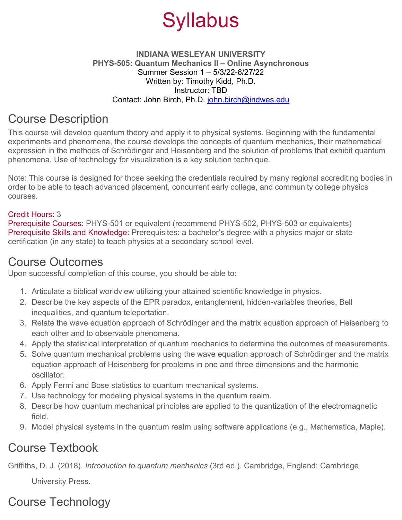

#### **INDIANA WESLEYAN UNIVERSITY PHYS-505: Quantum Mechanics II – Online Asynchronous** Summer Session 1 – 5/3/22-6/27/22 Written by: Timothy Kidd, Ph.D. Instructor: TBD Contact: John Birch, Ph.D. [john.birch@indwes.edu](mailto:john.birch@indwes.edu)

### Course Description

This course will develop quantum theory and apply it to physical systems. Beginning with the fundamental experiments and phenomena, the course develops the concepts of quantum mechanics, their mathematical expression in the methods of Schrödinger and Heisenberg and the solution of problems that exhibit quantum phenomena. Use of technology for visualization is a key solution technique.

Note: This course is designed for those seeking the credentials required by many regional accrediting bodies in order to be able to teach advanced placement, concurrent early college, and community college physics courses.

#### Credit Hours: 3

Prerequisite Courses: PHYS-501 or equivalent (recommend PHYS-502, PHYS-503 or equivalents) Prerequisite Skills and Knowledge: Prerequisites: a bachelor's degree with a physics major or state certification (in any state) to teach physics at a secondary school level.

#### Course Outcomes

Upon successful completion of this course, you should be able to:

- 1. Articulate a biblical worldview utilizing your attained scientific knowledge in physics.
- 2. Describe the key aspects of the EPR paradox, entanglement, hidden-variables theories, Bell inequalities, and quantum teleportation.
- 3. Relate the wave equation approach of Schrödinger and the matrix equation approach of Heisenberg to each other and to observable phenomena.
- 4. Apply the statistical interpretation of quantum mechanics to determine the outcomes of measurements.
- 5. Solve quantum mechanical problems using the wave equation approach of Schrödinger and the matrix equation approach of Heisenberg for problems in one and three dimensions and the harmonic oscillator.
- 6. Apply Fermi and Bose statistics to quantum mechanical systems.
- 7. Use technology for modeling physical systems in the quantum realm.
- 8. Describe how quantum mechanical principles are applied to the quantization of the electromagnetic field.
- 9. Model physical systems in the quantum realm using software applications (e.g., Mathematica, Maple).

#### Course Textbook

Griffiths, D. J. (2018). *Introduction to quantum mechanics* (3rd ed.). Cambridge, England: Cambridge

University Press.

# Course Technology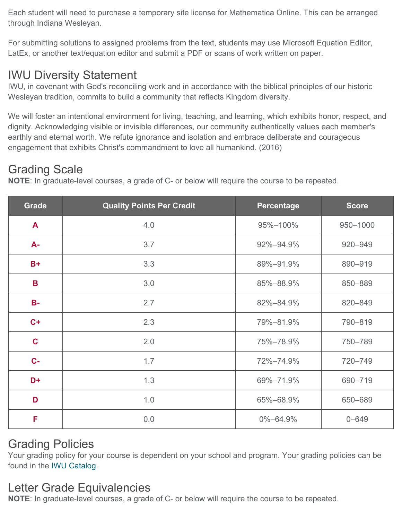Each student will need to purchase a temporary site license for Mathematica Online. This can be arranged through Indiana Wesleyan.

For submitting solutions to assigned problems from the text, students may use Microsoft Equation Editor, LatEx, or another text/equation editor and submit a PDF or scans of work written on paper.

#### IWU Diversity Statement

IWU, in covenant with God's reconciling work and in accordance with the biblical principles of our historic Wesleyan tradition, commits to build a community that reflects Kingdom diversity.

We will foster an intentional environment for living, teaching, and learning, which exhibits honor, respect, and dignity. Acknowledging visible or invisible differences, our community authentically values each member's earthly and eternal worth. We refute ignorance and isolation and embrace deliberate and courageous engagement that exhibits Christ's commandment to love all humankind. (2016)

#### Grading Scale

**NOTE**: In graduate-level courses, a grade of C- or below will require the course to be repeated.

| <b>Grade</b> | <b>Quality Points Per Credit</b> | <b>Percentage</b> | <b>Score</b> |
|--------------|----------------------------------|-------------------|--------------|
| $\mathbf{A}$ | 4.0                              | 95%-100%          | 950-1000     |
| $A -$        | 3.7                              | 92%-94.9%         | 920-949      |
| $B+$         | 3.3                              | 89%-91.9%         | 890-919      |
| $\mathbf B$  | 3.0                              | 85%-88.9%         | 850-889      |
| $B -$        | 2.7                              | 82%-84.9%         | 820-849      |
| $C +$        | 2.3                              | 79%-81.9%         | 790-819      |
| $\mathbf C$  | 2.0                              | 75%-78.9%         | 750-789      |
| $C -$        | 1.7                              | 72%-74.9%         | 720-749      |
| D+           | 1.3                              | 69%-71.9%         | 690-719      |
| D            | 1.0                              | 65%-68.9%         | 650-689      |
| F            | 0.0                              | $0\% - 64.9\%$    | $0 - 649$    |

### Grading Policies

Your grading policy for your course is dependent on your school and program. Your grading policies can be found in the [IWU Catalog.](https://www.indwes.edu/catalog/)

### Letter Grade Equivalencies

**NOTE**: In graduate-level courses, a grade of C- or below will require the course to be repeated.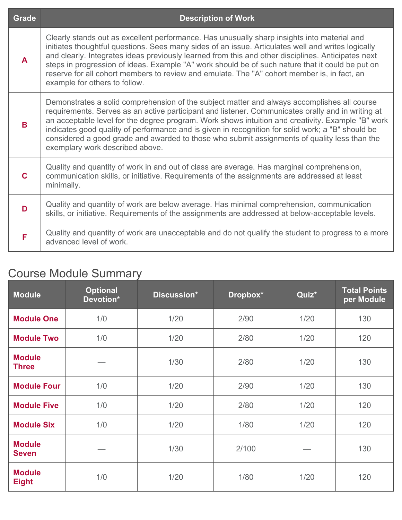| <b>Grade</b> | <b>Description of Work</b>                                                                                                                                                                                                                                                                                                                                                                                                                                                                                                                    |
|--------------|-----------------------------------------------------------------------------------------------------------------------------------------------------------------------------------------------------------------------------------------------------------------------------------------------------------------------------------------------------------------------------------------------------------------------------------------------------------------------------------------------------------------------------------------------|
| $\mathbf{A}$ | Clearly stands out as excellent performance. Has unusually sharp insights into material and<br>initiates thoughtful questions. Sees many sides of an issue. Articulates well and writes logically<br>and clearly. Integrates ideas previously learned from this and other disciplines. Anticipates next<br>steps in progression of ideas. Example "A" work should be of such nature that it could be put on<br>reserve for all cohort members to review and emulate. The "A" cohort member is, in fact, an<br>example for others to follow.   |
| B            | Demonstrates a solid comprehension of the subject matter and always accomplishes all course<br>requirements. Serves as an active participant and listener. Communicates orally and in writing at<br>an acceptable level for the degree program. Work shows intuition and creativity. Example "B" work<br>indicates good quality of performance and is given in recognition for solid work; a "B" should be<br>considered a good grade and awarded to those who submit assignments of quality less than the<br>exemplary work described above. |
| $\mathbf C$  | Quality and quantity of work in and out of class are average. Has marginal comprehension,<br>communication skills, or initiative. Requirements of the assignments are addressed at least<br>minimally.                                                                                                                                                                                                                                                                                                                                        |
| D            | Quality and quantity of work are below average. Has minimal comprehension, communication<br>skills, or initiative. Requirements of the assignments are addressed at below-acceptable levels.                                                                                                                                                                                                                                                                                                                                                  |
| F            | Quality and quantity of work are unacceptable and do not qualify the student to progress to a more<br>advanced level of work.                                                                                                                                                                                                                                                                                                                                                                                                                 |

#### Course Module Summary

| <b>Module</b>                 | <b>Optional</b><br>Devotion* | Discussion* | Dropbox* | Quiz* | <b>Total Points</b><br>per Module |
|-------------------------------|------------------------------|-------------|----------|-------|-----------------------------------|
| <b>Module One</b>             | 1/0                          | 1/20        | 2/90     | 1/20  | 130                               |
| <b>Module Two</b>             | 1/0                          | 1/20        | 2/80     | 1/20  | 120                               |
| <b>Module</b><br><b>Three</b> |                              | 1/30        | 2/80     | 1/20  | 130                               |
| <b>Module Four</b>            | 1/0                          | 1/20        | 2/90     | 1/20  | 130                               |
| <b>Module Five</b>            | 1/0                          | 1/20        | 2/80     | 1/20  | 120                               |
| <b>Module Six</b>             | 1/0                          | 1/20        | 1/80     | 1/20  | 120                               |
| <b>Module</b><br><b>Seven</b> |                              | 1/30        | 2/100    |       | 130                               |
| <b>Module</b><br><b>Eight</b> | 1/0                          | 1/20        | 1/80     | 1/20  | 120                               |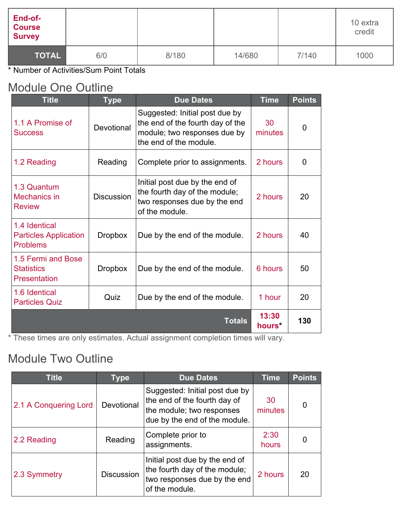| End-of-<br><b>Course</b><br><b>Survey</b> |     |       |        |       | 10 extra<br>credit |
|-------------------------------------------|-----|-------|--------|-------|--------------------|
| TOTAL                                     | 6/0 | 8/180 | 14/680 | 7/140 | 1000               |

\* Number of Activities/Sum Point Totals

#### Module One Outline

| <b>Title</b>                                                     | <b>Type</b>       | <b>Due Dates</b>                                                                                                             | <b>Time</b>     | <b>Points</b> |
|------------------------------------------------------------------|-------------------|------------------------------------------------------------------------------------------------------------------------------|-----------------|---------------|
| 1.1 A Promise of<br><b>Success</b>                               | Devotional        | Suggested: Initial post due by<br>the end of the fourth day of the<br>module; two responses due by<br>the end of the module. | 30<br>minutes   | 0             |
| 1.2 Reading                                                      | Reading           | Complete prior to assignments.                                                                                               | 2 hours         | 0             |
| 1.3 Quantum<br>Mechanics in<br><b>Review</b>                     | <b>Discussion</b> | Initial post due by the end of<br>the fourth day of the module;<br>two responses due by the end<br>of the module.            | 2 hours         | 20            |
| 1.4 Identical<br><b>Particles Application</b><br><b>Problems</b> | <b>Dropbox</b>    | Due by the end of the module.                                                                                                | 2 hours         | 40            |
| 1.5 Fermi and Bose<br><b>Statistics</b><br><b>Presentation</b>   | <b>Dropbox</b>    | Due by the end of the module.                                                                                                | 6 hours         | 50            |
| 1.6 Identical<br><b>Particles Quiz</b>                           | Quiz              | Due by the end of the module.                                                                                                | 1 hour          | 20            |
|                                                                  |                   | <b>Totals</b>                                                                                                                | 13:30<br>hours* | 130           |

\* These times are only estimates. Actual assignment completion times will vary.

#### Module Two Outline

| <b>Title</b>          | <b>Type</b>       | <b>Due Dates</b>                                                                                                             | <b>Time</b>   | <b>Points</b> |
|-----------------------|-------------------|------------------------------------------------------------------------------------------------------------------------------|---------------|---------------|
| 2.1 A Conquering Lord | Devotional        | Suggested: Initial post due by<br>the end of the fourth day of<br>the module; two responses<br>due by the end of the module. | 30<br>minutes | 0             |
| 2.2 Reading           | Reading           | Complete prior to<br>assignments.                                                                                            | 2:30<br>hours |               |
| 2.3 Symmetry          | <b>Discussion</b> | Initial post due by the end of<br>the fourth day of the module;<br>two responses due by the end<br>of the module.            | 2 hours       | 20            |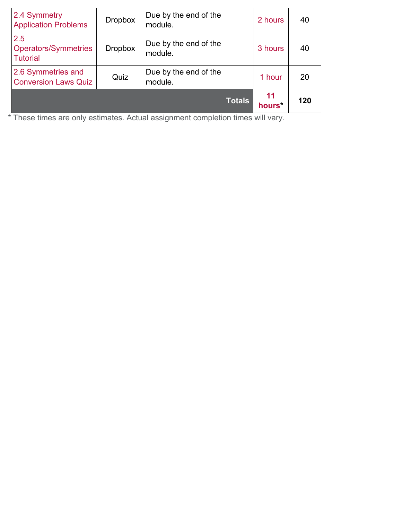| 2.4 Symmetry<br><b>Application Problems</b>           | <b>Dropbox</b> | Due by the end of the<br>module. | 2 hours                  | 40  |
|-------------------------------------------------------|----------------|----------------------------------|--------------------------|-----|
| 2.5<br><b>Operators/Symmetries</b><br><b>Tutorial</b> | <b>Dropbox</b> | Due by the end of the<br>module. | 3 hours                  | 40  |
| 2.6 Symmetries and<br><b>Conversion Laws Quiz</b>     | Quiz           | Due by the end of the<br>module. | 1 hour                   | 20  |
|                                                       |                | <b>Totals</b>                    | 11<br>hours <sup>*</sup> | 120 |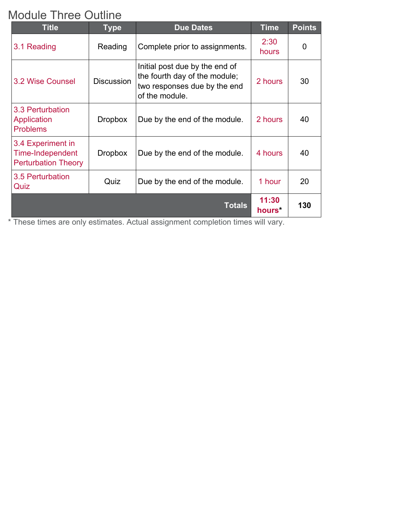### Module Three Outline

| <b>Title</b>                                                        | <b>Type</b>       | <b>Due Dates</b>                                                                                                  | <b>Time</b>                 | <b>Points</b> |
|---------------------------------------------------------------------|-------------------|-------------------------------------------------------------------------------------------------------------------|-----------------------------|---------------|
| 3.1 Reading                                                         | Reading           | Complete prior to assignments.                                                                                    | 2:30<br>hours               | 0             |
| <b>3.2 Wise Counsel</b>                                             | <b>Discussion</b> | Initial post due by the end of<br>the fourth day of the module;<br>two responses due by the end<br>of the module. | 2 hours                     | 30            |
| 3.3 Perturbation<br>Application<br><b>Problems</b>                  | <b>Dropbox</b>    | Due by the end of the module.                                                                                     | 2 hours                     | 40            |
| 3.4 Experiment in<br>Time-Independent<br><b>Perturbation Theory</b> | <b>Dropbox</b>    | Due by the end of the module.                                                                                     | 4 hours                     | 40            |
| 3.5 Perturbation<br>Quiz                                            | Quiz              | Due by the end of the module.                                                                                     | 1 hour                      | 20            |
|                                                                     |                   | <b>Totals</b>                                                                                                     | 11:30<br>hours <sup>*</sup> | 130           |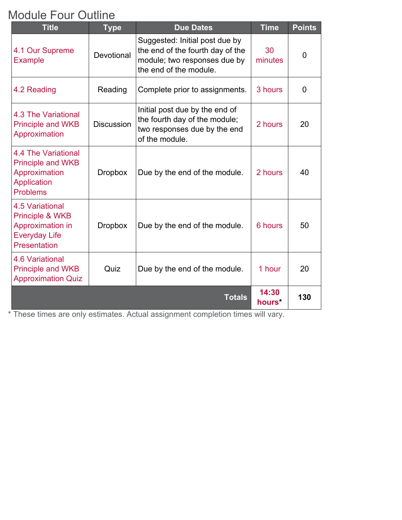## Module Four Outline

| <b>Title</b>                                                                                                            | <b>Type</b>       | <b>Due Dates</b>                                                                                                             | <b>Time</b>     | <b>Points</b>  |
|-------------------------------------------------------------------------------------------------------------------------|-------------------|------------------------------------------------------------------------------------------------------------------------------|-----------------|----------------|
| 4.1 Our Supreme<br><b>Example</b>                                                                                       | Devotional        | Suggested: Initial post due by<br>the end of the fourth day of the<br>module; two responses due by<br>the end of the module. | 30<br>minutes   | $\overline{0}$ |
| 4.2 Reading                                                                                                             | Reading           | Complete prior to assignments.                                                                                               | 3 hours         | $\overline{0}$ |
| 4.3 The Variational<br><b>Principle and WKB</b><br>Approximation                                                        | <b>Discussion</b> | Initial post due by the end of<br>the fourth day of the module;<br>two responses due by the end<br>of the module.            | 2 hours         | 20             |
| 4.4 The Variational<br><b>Principle and WKB</b><br>Approximation<br><b>Application</b><br><b>Problems</b>               | <b>Dropbox</b>    | Due by the end of the module.                                                                                                | 2 hours         | 40             |
| <b>4.5 Variational</b><br><b>Principle &amp; WKB</b><br>Approximation in<br><b>Everyday Life</b><br><b>Presentation</b> | <b>Dropbox</b>    | Due by the end of the module.                                                                                                | 6 hours         | 50             |
| <b>4.6 Variational</b><br><b>Principle and WKB</b><br><b>Approximation Quiz</b>                                         | Quiz              | Due by the end of the module.                                                                                                | 1 hour          | 20             |
|                                                                                                                         |                   | <b>Totals</b>                                                                                                                | 14:30<br>hours* | 130            |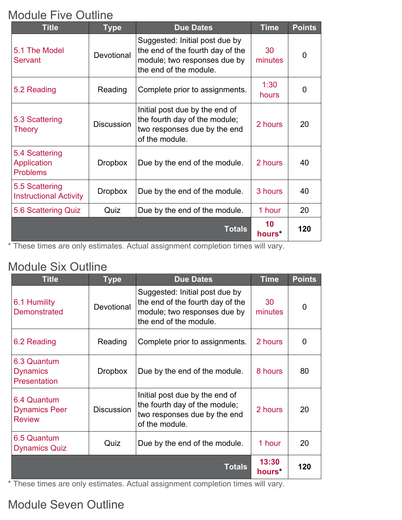### Module Five Outline

| <b>Title</b>                                     | <b>Type</b>       | <b>Due Dates</b>                                                                                                             | <b>Time</b>              | <b>Points</b>  |
|--------------------------------------------------|-------------------|------------------------------------------------------------------------------------------------------------------------------|--------------------------|----------------|
| 5.1 The Model<br><b>Servant</b>                  | Devotional        | Suggested: Initial post due by<br>the end of the fourth day of the<br>module; two responses due by<br>the end of the module. | 30<br>minutes            | $\overline{0}$ |
| 5.2 Reading                                      | Reading           | Complete prior to assignments.                                                                                               | 1:30<br>hours            | 0              |
| 5.3 Scattering<br><b>Theory</b>                  | <b>Discussion</b> | Initial post due by the end of<br>the fourth day of the module;<br>two responses due by the end<br>of the module.            | 2 hours                  | 20             |
| 5.4 Scattering<br>Application<br><b>Problems</b> | <b>Dropbox</b>    | Due by the end of the module.                                                                                                | 2 hours                  | 40             |
| 5.5 Scattering<br><b>Instructional Activity</b>  | <b>Dropbox</b>    | Due by the end of the module.                                                                                                | 3 hours                  | 40             |
| 5.6 Scattering Quiz                              | Quiz              | Due by the end of the module.                                                                                                | 1 hour                   | 20             |
|                                                  |                   | <b>Totals</b>                                                                                                                | 10<br>hours <sup>*</sup> | 120            |

\* These times are only estimates. Actual assignment completion times will vary.

#### Module Six Outline

| <b>Title</b>                                          | <b>Type</b>       | <b>Due Dates</b>                                                                                                             | <b>Time</b>                 | <b>Points</b> |
|-------------------------------------------------------|-------------------|------------------------------------------------------------------------------------------------------------------------------|-----------------------------|---------------|
| 6.1 Humility<br><b>Demonstrated</b>                   | Devotional        | Suggested: Initial post due by<br>the end of the fourth day of the<br>module; two responses due by<br>the end of the module. | 30<br>minutes               | 0             |
| 6.2 Reading                                           | Reading           | Complete prior to assignments.                                                                                               | 2 hours                     | 0             |
| 6.3 Quantum<br><b>Dynamics</b><br><b>Presentation</b> | <b>Dropbox</b>    | Due by the end of the module.                                                                                                | 8 hours                     | 80            |
| 6.4 Quantum<br><b>Dynamics Peer</b><br><b>Review</b>  | <b>Discussion</b> | Initial post due by the end of<br>the fourth day of the module;<br>two responses due by the end<br>of the module.            | 2 hours                     | 20            |
| 6.5 Quantum<br><b>Dynamics Quiz</b>                   | Quiz              | Due by the end of the module.                                                                                                | 1 hour                      | 20            |
|                                                       |                   | <b>Totals</b>                                                                                                                | 13:30<br>hours <sup>*</sup> | 120           |

\* These times are only estimates. Actual assignment completion times will vary.

# Module Seven Outline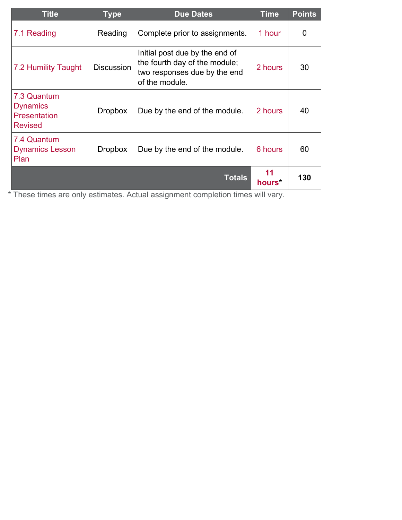| <b>Title</b>                                                     | <b>Type</b>       | <b>Due Dates</b>                                                                                                  | <b>Time</b>  | <b>Points</b> |
|------------------------------------------------------------------|-------------------|-------------------------------------------------------------------------------------------------------------------|--------------|---------------|
| 7.1 Reading                                                      | Reading           | Complete prior to assignments.                                                                                    | 1 hour       | 0             |
| 7.2 Humility Taught                                              | <b>Discussion</b> | Initial post due by the end of<br>the fourth day of the module;<br>two responses due by the end<br>of the module. | 2 hours      | 30            |
| 7.3 Quantum<br><b>Dynamics</b><br>Presentation<br><b>Revised</b> | <b>Dropbox</b>    | Due by the end of the module.                                                                                     | 2 hours      | 40            |
| 7.4 Quantum<br><b>Dynamics Lesson</b><br>Plan                    | <b>Dropbox</b>    | Due by the end of the module.                                                                                     | 6 hours      | 60            |
|                                                                  |                   | <b>Totals</b>                                                                                                     | 11<br>hours* | 130           |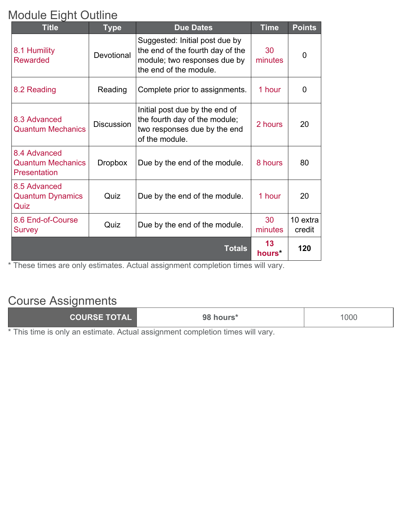## Module Eight Outline

| <b>Title</b>                                                    | <b>Type</b>       | <b>Due Dates</b>                                                                                                             | <b>Time</b>              | <b>Points</b>      |
|-----------------------------------------------------------------|-------------------|------------------------------------------------------------------------------------------------------------------------------|--------------------------|--------------------|
| 8.1 Humility<br><b>Rewarded</b>                                 | Devotional        | Suggested: Initial post due by<br>the end of the fourth day of the<br>module; two responses due by<br>the end of the module. | 30<br>minutes            | $\overline{0}$     |
| 8.2 Reading                                                     | Reading           | Complete prior to assignments.                                                                                               | 1 hour                   | 0                  |
| 8.3 Advanced<br><b>Quantum Mechanics</b>                        | <b>Discussion</b> | Initial post due by the end of<br>the fourth day of the module;<br>two responses due by the end<br>of the module.            | 2 hours                  | 20                 |
| 8.4 Advanced<br><b>Quantum Mechanics</b><br><b>Presentation</b> | <b>Dropbox</b>    | Due by the end of the module.                                                                                                | 8 hours                  | 80                 |
| 8.5 Advanced<br><b>Quantum Dynamics</b><br>Quiz                 | Quiz              | Due by the end of the module.                                                                                                | 1 hour                   | 20                 |
| 8.6 End-of-Course<br><b>Survey</b>                              | Quiz              | Due by the end of the module.                                                                                                | 30<br>minutes            | 10 extra<br>credit |
|                                                                 |                   | <b>Totals</b>                                                                                                                | 13<br>hours <sup>*</sup> | 120                |

\* These times are only estimates. Actual assignment completion times will vary.

## Course Assignments

| COURSE TOTAL | 98 hours* | 1000 |
|--------------|-----------|------|
|--------------|-----------|------|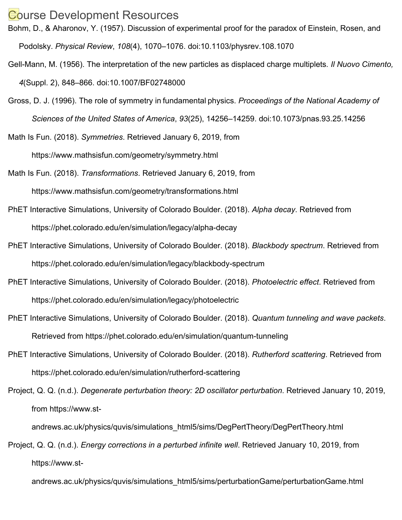#### Gourse Development Resources

Bohm, D., & Aharonov, Y. (1957). Discussion of experimental proof for the paradox of Einstein, Rosen, and Podolsky. *Physical Review*, *108*(4), 1070–1076. doi:10.1103/physrev.108.1070

- Gell-Mann, M. (1956). The interpretation of the new particles as displaced charge multiplets*. Il Nuovo Cimento, 4*(Suppl. 2), 848–866. doi:10.1007/BF02748000
- Gross, D. J. (1996). The role of symmetry in fundamental physics. *Proceedings of the National Academy of Sciences of the United States of America*, *93*(25), 14256–14259. doi:10.1073/pnas.93.25.14256
- Math Is Fun. (2018). *Symmetries*. Retrieved January 6, 2019, from https://www.mathsisfun.com/geometry/symmetry.html
- Math Is Fun. (2018). *Transformations*. Retrieved January 6, 2019, from https://www.mathsisfun.com/geometry/transformations.html
- PhET Interactive Simulations, University of Colorado Boulder. (2018). *Alpha decay*. Retrieved from https://phet.colorado.edu/en/simulation/legacy/alpha-decay
- PhET Interactive Simulations, University of Colorado Boulder. (2018). *Blackbody spectrum*. Retrieved from https://phet.colorado.edu/en/simulation/legacy/blackbody-spectrum
- PhET Interactive Simulations, University of Colorado Boulder. (2018). *Photoelectric effect*. Retrieved from https://phet.colorado.edu/en/simulation/legacy/photoelectric
- PhET Interactive Simulations, University of Colorado Boulder. (2018). *Quantum tunneling and wave packets*. Retrieved from https://phet.colorado.edu/en/simulation/quantum-tunneling
- PhET Interactive Simulations, University of Colorado Boulder. (2018). *Rutherford scattering*. Retrieved from https://phet.colorado.edu/en/simulation/rutherford-scattering
- Project, Q. Q. (n.d.). *Degenerate perturbation theory: 2D oscillator perturbation*. Retrieved January 10, 2019, from https://www.st-

andrews.ac.uk/physics/quvis/simulations\_html5/sims/DegPertTheory/DegPertTheory.html

Project, Q. Q. (n.d.). *Energy corrections in a perturbed infinite well*. Retrieved January 10, 2019, from https://www.st-

andrews.ac.uk/physics/quvis/simulations\_html5/sims/perturbationGame/perturbationGame.html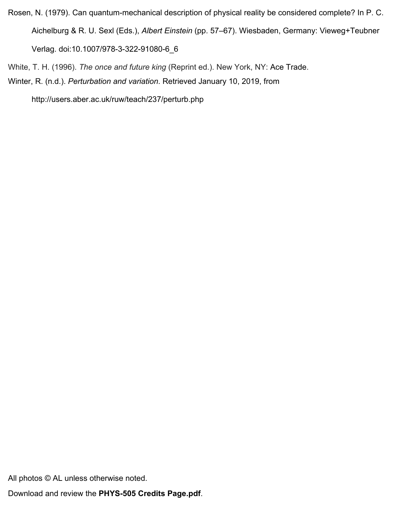- Rosen, N. (1979). Can quantum-mechanical description of physical reality be considered complete? In P. C. Aichelburg & R. U. Sexl (Eds.), *Albert Einstein* (pp. 57–67). Wiesbaden, Germany: Vieweg+Teubner Verlag. doi:10.1007/978-3-322-91080-6\_6
- White, T. H. (1996). *The once and future king* (Reprint ed.). New York, NY: Ace Trade.
- Winter, R. (n.d.). *Perturbation and variation*. Retrieved January 10, 2019, from

http://users.aber.ac.uk/ruw/teach/237/perturb.php

All photos © AL unless otherwise noted.

Download and review the **PHYS-505 Credits Page.pdf**.